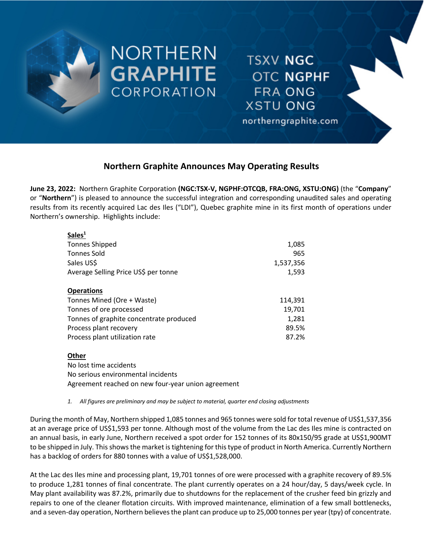

NORTHERN **GRAPHITE CORPORATION** 

**TSXV NGC OTC NGPHF FRA ONG XSTU ONG** 

northerngraphite.com

# **Northern Graphite Announces May Operating Results**

**June 23, 2022:** Northern Graphite Corporation **(NGC:TSX-V, NGPHF:OTCQB, FRA:ONG, XSTU:ONG)** (the "**Company**" or "**Northern**") is pleased to announce the successful integration and corresponding unaudited sales and operating results from its recently acquired Lac des Iles ("LDI"), Quebec graphite mine in its first month of operations under Northern's ownership. Highlights include:

| Sales <sup>1</sup>                      |           |
|-----------------------------------------|-----------|
| <b>Tonnes Shipped</b>                   | 1,085     |
| <b>Tonnes Sold</b>                      | 965       |
| Sales US\$                              | 1,537,356 |
| Average Selling Price US\$ per tonne    | 1,593     |
| <b>Operations</b>                       |           |
| Tonnes Mined (Ore + Waste)              | 114,391   |
| Tonnes of ore processed                 | 19,701    |
| Tonnes of graphite concentrate produced | 1,281     |
| Process plant recovery                  | 89.5%     |
| Process plant utilization rate          | 87.2%     |
| Other                                   |           |
| Na loct timo accidonts                  |           |

No lost time accidents No serious environmental incidents Agreement reached on new four-year union agreement

*1. All figures are preliminary and may be subject to material, quarter end closing adjustments*

During the month of May, Northern shipped 1,085 tonnes and 965 tonnes were sold for total revenue of US\$1,537,356 at an average price of US\$1,593 per tonne. Although most of the volume from the Lac des Iles mine is contracted on an annual basis, in early June, Northern received a spot order for 152 tonnes of its 80x150/95 grade at US\$1,900MT to be shipped in July. This shows the market is tightening for this type of product in North America. Currently Northern has a backlog of orders for 880 tonnes with a value of US\$1,528,000.

At the Lac des Iles mine and processing plant, 19,701 tonnes of ore were processed with a graphite recovery of 89.5% to produce 1,281 tonnes of final concentrate. The plant currently operates on a 24 hour/day, 5 days/week cycle. In May plant availability was 87.2%, primarily due to shutdowns for the replacement of the crusher feed bin grizzly and repairs to one of the cleaner flotation circuits. With improved maintenance, elimination of a few small bottlenecks, and a seven-day operation, Northern believes the plant can produce up to 25,000 tonnes per year (tpy) of concentrate.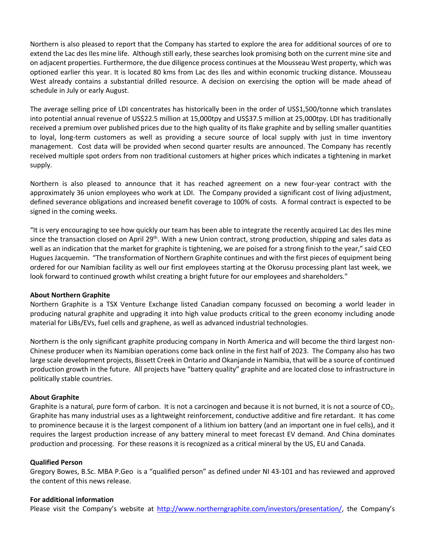Northern is also pleased to report that the Company has started to explore the area for additional sources of ore to extend the Lac des Iles mine life. Although still early, these searches look promising both on the current mine site and on adjacent properties. Furthermore, the due diligence process continues at the Mousseau West property, which was optioned earlier this year. It is located 80 kms from Lac des Iles and within economic trucking distance. Mousseau West already contains a substantial drilled resource. A decision on exercising the option will be made ahead of schedule in July or early August.

The average selling price of LDI concentrates has historically been in the order of US\$1,500/tonne which translates into potential annual revenue of US\$22.5 million at 15,000tpy and US\$37.5 million at 25,000tpy. LDI has traditionally received a premium over published prices due to the high quality of its flake graphite and by selling smaller quantities to loyal, long-term customers as well as providing a secure source of local supply with just in time inventory management. Cost data will be provided when second quarter results are announced. The Company has recently received multiple spot orders from non traditional customers at higher prices which indicates a tightening in market supply.

Northern is also pleased to announce that it has reached agreement on a new four-year contract with the approximately 36 union employees who work at LDI. The Company provided a significant cost of living adjustment, defined severance obligations and increased benefit coverage to 100% of costs. A formal contract is expected to be signed in the coming weeks.

"It is very encouraging to see how quickly our team has been able to integrate the recently acquired Lac des Iles mine since the transaction closed on April 29<sup>th</sup>. With a new Union contract, strong production, shipping and sales data as well as an indication that the market for graphite is tightening, we are poised for a strong finish to the year," said CEO Hugues Jacquemin. "The transformation of Northern Graphite continues and with the first pieces of equipment being ordered for our Namibian facility as well our first employees starting at the Okorusu processing plant last week, we look forward to continued growth whilst creating a bright future for our employees and shareholders."

# **About Northern Graphite**

Northern Graphite is a TSX Venture Exchange listed Canadian company focussed on becoming a world leader in producing natural graphite and upgrading it into high value products critical to the green economy including anode material for LiBs/EVs, fuel cells and graphene, as well as advanced industrial technologies.

Northern is the only significant graphite producing company in North America and will become the third largest non-Chinese producer when its Namibian operations come back online in the first half of 2023. The Company also has two large scale development projects, Bissett Creek in Ontario and Okanjande in Namibia, that will be a source of continued production growth in the future. All projects have "battery quality" graphite and are located close to infrastructure in politically stable countries.

# **About Graphite**

Graphite is a natural, pure form of carbon. It is not a carcinogen and because it is not burned, it is not a source of  $CO<sub>2</sub>$ . Graphite has many industrial uses as a lightweight reinforcement, conductive additive and fire retardant. It has come to prominence because it is the largest component of a lithium ion battery (and an important one in fuel cells), and it requires the largest production increase of any battery mineral to meet forecast EV demand. And China dominates production and processing. For these reasons it is recognized as a critical mineral by the US, EU and Canada.

# **Qualified Person**

Gregory Bowes, B.Sc. MBA P.Geo is a "qualified person" as defined under NI 43-101 and has reviewed and approved the content of this news release.

# **For additional information**

Please visit the Company's website at http://www.northerngraphite.com/investors/presentation/, the Company's